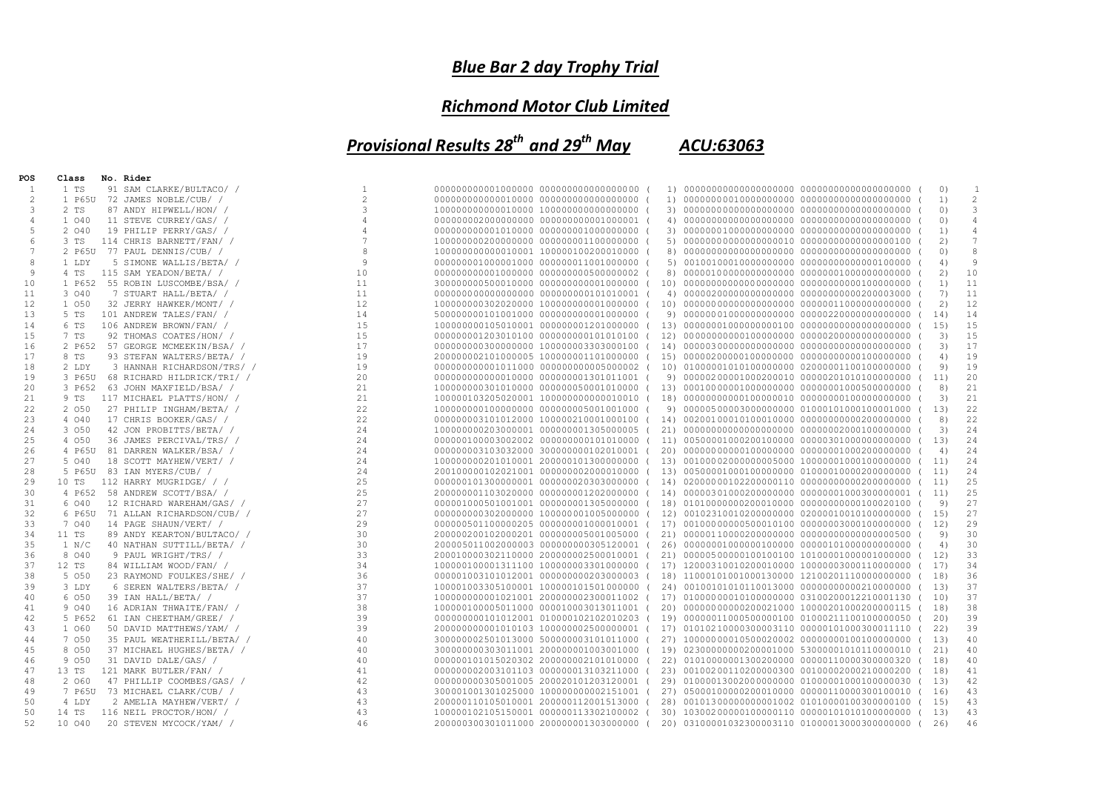## *Blue Bar 2 day Trophy Trial*

## *Richmond Motor Club Limited*

*Provisional Results 28th and 29th May ACU:63063*

| POS      | Class   | No. Rider                        |                 |                                          |  |                                                |                                                   |           |                 |
|----------|---------|----------------------------------|-----------------|------------------------------------------|--|------------------------------------------------|---------------------------------------------------|-----------|-----------------|
| 1        | 1 TS    | 91 SAM CLARKE/BULTACO/ /         |                 | 000000000001000000 0000000000000000000 0 |  |                                                |                                                   | $\circ$   | -1              |
| 2        |         | 1 P65U 72 JAMES NOBLE/CUB/ /     | $\overline{c}$  | 000000000000010000 0000000000000000000 ( |  |                                                |                                                   | 1)        | $\mathbf{2}$    |
| 3        | 2 TS    | 87 ANDY HIPWELL/HON/ /           | 3               | 100000000000010000 1000000000000000000 ( |  |                                                |                                                   | $\circ$   | 3               |
| 4        | 1 040   | 11 STEVE CURREY/GAS/ /           | 4               | 000000002000000000 0000000000001000001 ( |  |                                                |                                                   | 0)        | $\overline{4}$  |
| 5        | 2 040   | 19 PHILIP PERRY/GAS/ /           | 4               | 000000000001010000 000000001000000000 (  |  |                                                |                                                   | 1)        | $\overline{4}$  |
| 6        | 3 TS    | 114 CHRIS BARNETT/FAN/ /         | $7\phantom{.0}$ | 100000000200000000 000000001100000000    |  |                                                |                                                   | 2)        | $7\phantom{.0}$ |
| 7        |         | 2 P65U 77 PAUL DENNIS/CUB/ /     | 8               | 1000000000000010001 100000100200010000 ( |  |                                                |                                                   | 0)        | 8               |
| 8        | 1 LDY   | 5 SIMONE WALLIS/BETA/ /          | $\mathcal{G}$   | 000000001000001000 000000011001000000 (  |  |                                                | 5) 00100100010000000000 000000000000000100000 (   | 4)        | 9               |
| 9        | 4 TS    | 115 SAM YEADON/BETA/ /           | 10              | 000000000001000000 000000000500000002 (  |  |                                                |                                                   | 2)        | 10              |
| 10       | 1 P652  | 55 ROBIN LUSCOMBE/BSA/ /         | 11              | 300000000500010000 0000000000001000000 ( |  |                                                |                                                   | 1)        | 11              |
| 11       | 3 040   | 7 STUART HALL/BETA/ /            | 11              | 000000000000000000 0000000000101010001 ( |  | 4) 000002000000000000000 000000000000200003000 |                                                   | 7)        | 11              |
| 12       | 1 050   | 32 JERRY HAWKER/MONT/ /          | 12              | 100000000302020000 100000000001000000 (  |  |                                                |                                                   | 2)        | 12              |
| 13       | 5 TS    | 101 ANDREW TALES/FAN/ /          | 14              | 500000000101001000 0000000000001000000 ( |  |                                                |                                                   | 14)       | 14              |
| 14       | 6 TS    | 106 ANDREW BROWN/FAN/ /          | 15              | 100000000105010001 000000001201000000 (  |  |                                                |                                                   | 15)       | 15              |
| 15       | 7 TS    | 92 THOMAS COATES/HON/ /          | 15              | 000000001203010100 000000000101010100 (  |  |                                                |                                                   | 3)        | 15              |
| 16       |         | 2 P652 57 GEORGE MCMEEKIN/BSA/ / | 17              | 000000000300000000 100000003303000100 (  |  |                                                |                                                   | 3)        | 17              |
| 17       | 8 TS    | 93 STEFAN WALTERS/BETA/ /        | 19              | 200000002101000005 100000001101000000 (  |  |                                                |                                                   | 4)        | 19              |
| 18       | 2 LDY   | 3 HANNAH RICHARDSON/TRS/ /       | 19              | 000000000001011000 0000000000005000002 ( |  |                                                |                                                   | 9)        | 19              |
| 19       | 3 P65U  | 68 RICHARD HILDRICK/TRI/ /       | 20              | 000000000000010000 000000001301011001 (  |  |                                                |                                                   | 11)       | 20              |
| 20       | 3 P652  | 63 JOHN MAXFIELD/BSA/ /          | 21              | 100000000301010000 000000050001010000 (  |  |                                                |                                                   | 8)        | 21              |
| 21       | 9 TS    | 117 MICHAEL PLATTS/HON/ /        | 21              | 100000103205020001 1000000000000010010 ( |  |                                                |                                                   | 3)        | 21              |
| 22       | 2 050   | 27 PHILIP INGHAM/BETA/ /         | 22              | 100000000100000000 000000005001001000 (  |  |                                                |                                                   | 13)       | 22              |
| 23       | 4 040   | 17 CHRIS BOOKER/GAS/ /           | 22              | 000000003101012000 100000210001000100 (  |  |                                                |                                                   | 8)        | 22              |
| 24       | 3 050   | 42 JON PROBITTS/BETA/ /          | 24              | 100000000203000001 000000001305000005 (  |  |                                                |                                                   | 3)        | 24              |
| 25       | 4 050   | 36 JAMES PERCIVAL/TRS/ /         | 24              | 000000100003002002 000000000101010000 (  |  |                                                | 11) 00500001000200100000 000003010000000000000 (  | 13)       | 24              |
| 26       | 4 P65U  | 81 DARREN WALKER/BSA/ /          | 24              | 000000003103032000 300000000102010001 (  |  |                                                |                                                   | 4)        | 24              |
| 27       | 5 040   | 18 SCOTT MAYHEW/VERT/ /          | 24              | 100000000201010001 200000101300000000 (  |  |                                                | 13) 00100002000000005000 100000010001000000000 (  | 11)       | 24              |
|          |         | 83 IAN MYERS/CUB/ /              | 24              | 200100000102021001 000000002000010000 (  |  |                                                | 13) 00500001000100000000 01000010000200000000 (   |           | 24              |
| 28<br>29 | 5 P65U  |                                  | 25              |                                          |  |                                                |                                                   | 11)       | 25              |
|          | 10 TS   | 112 HARRY MUGRIDGE/ / /          |                 | 000000101300000001 000000020303000000 (  |  |                                                |                                                   | 11)       |                 |
| 30       | 4 P652  | 58 ANDREW SCOTT/BSA/ /           | 25<br>27        | 200000001103020000 000000001202000000 (  |  |                                                | 14) 00000301000200000000 000000010003000000001 (  | 11)<br>9) | 25<br>27        |
| 31       | 6 040   | 12 RICHARD WAREHAM/GAS/ /        |                 | 000001000501001001 000000001305000000 (  |  |                                                | 18) 01010000000200010000 000000000000100020100 (  |           | 27              |
| 32       | 6 P65U  | 71 ALLAN RICHARDSON/CUB/ /       | 27              | 000000000302000000 100000001005000000 (  |  |                                                | 12) 00102310010200000000 02000010010100000000 (   | 15)       |                 |
| 33       | 7 040   | 14 PAGE SHAUN/VERT/ /            | 29<br>30        | 000000501100000205 000000001000010001 (  |  |                                                | 17) 00100000000500010100 00000003000100000000 (   | 12)       | 29<br>30        |
| 34       | 11 TS   | 89 ANDY KEARTON/BULTACO/ /       |                 | 200000200102000201 000000005001005000 (  |  |                                                |                                                   | 9)        |                 |
| 35       | 1 N/C   | 40 NATHAN SUTTILL/BETA/ /        | 30              | 200005011002000003 000000000305120001 (  |  |                                                |                                                   | 4)        | 30              |
| 36       | 8 0 4 0 | 9 PAUL WRIGHT/TRS/ /             | 33              | 200010000302110000 200000002500010001 (  |  |                                                | 21) 00000500000100100100 10100001000001000000 (   | 12)       | 33              |
| 37       | $12$ TS | 84 WILLIAM WOOD/FAN/ /           | 34              | 100000100001311100 100000003301000000 (  |  |                                                | 17) 12000310010200010000 10000003000110000000 (   | 17)       | 34              |
| 38       | 5 0 5 0 | 23 RAYMOND FOULKES/SHE/ /        | 36              | 000001003101012001 000000000203000003 (  |  |                                                |                                                   | 18)       | 36              |
| 39       | 3 LDY   | 6 SEREN WALTERS/BETA/ /          | 37              | 100001003305100001 100000101501000000 (  |  |                                                | 24) 001001010101110013000 000000000000210000000 ( | 13)       | 37              |
| 40       | 6 050   | 39 IAN HALL/BETA/ /              | 37              | 1000000000001021001 200000002300011002 ( |  |                                                | 17) 01000000010100000000 03100200012210001130 (   | 10)       | 37              |
| 41       | 9 040   | 16 ADRIAN THWAITE/FAN/ /         | 38              | 100000100005011000 000010003013011001 (  |  |                                                | 20) 000000000000200021000 100002010002000000115 ( | 18)       | 38              |
| 42       | 5 P652  | 61 IAN CHEETHAM/GREE/ /          | 39              | 000000000101012001 010000102102010203 (  |  |                                                | 19) 00000011000500000100 01000211100100000050 (   | 20)       | 39              |
| 43       | 1 060   | 50 DAVID MATTHEWS/YAM/ /         | 39              | 2000000000001010103 100000002500000001 ( |  |                                                | 17) 01010210000300003110 00000101000300011110 (   | 22)       | 39              |
| 44       | 7 050   | 35 PAUL WEATHERILL/BETA/ /       | 40              | 300000002501013000 500000003101011000    |  |                                                | 27) 10000000010500020002 000000001001000000000 (  | 13)       | 40              |
| 45       | 8 0 5 0 | 37 MICHAEL HUGHES/BETA/ /        | 40              | 300000000303011001 200000001003001000 (  |  |                                                | 19) 02300000000200001000 53000001010110000010 (   | 21)       | 40              |
| 46       | 9 0 5 0 | 31 DAVID DALE/GAS/ /             | 40              | 000000101015020302 200000002101010000 (  |  |                                                | 22) 01010000001300200000 00000110000300000320 (   | 18)       | 40              |
| 47       | 13 TS   | 121 MARK BUTLER/FAN/ /           | 41              | 000000002003101103 000000013103211000 (  |  |                                                | 23) 00100200110200000300 00100002000210000200 (   | 18)       | 41              |
| 48       | 2 060   | 47 PHILLIP COOMBES/GAS/ /        | 42              | 000000000305001005 200020101203120001 (  |  |                                                | 29) 01000013002000000000 010000010001000000030 (  | 13)       | 42              |
| 49       | 7 P65U  | 73 MICHAEL CLARK/CUB/ /          | 43              | 300001001301025000 100000000002151001 (  |  |                                                | 27) 05000100000200010000 00000110000300100010 (   | 16)       | 43              |
| 50       | 4 LDY   | 2 AMELIA MAYHEW/VERT/ /          | 43              | 200000110105010001 200000112001513000    |  |                                                | 28) 001013000000000001002 01010000100300000100 (  | 15)       | 43              |
| 50       | 14 TS   | 116 NEIL PROCTOR/HON/ /          | 43              | 100000102105150001 000000113302100002 (  |  |                                                | 30) 10300200000100000110 00000101010100000000 (   | 13)       | 43              |
| 52       | 10 040  | 20 STEVEN MYCOCK/YAM/ /          | 46              | 200000300301011000 200000001303000000 (  |  |                                                | 20) 03100001032300003110 01000013000300000000 (   | 26)       | 46              |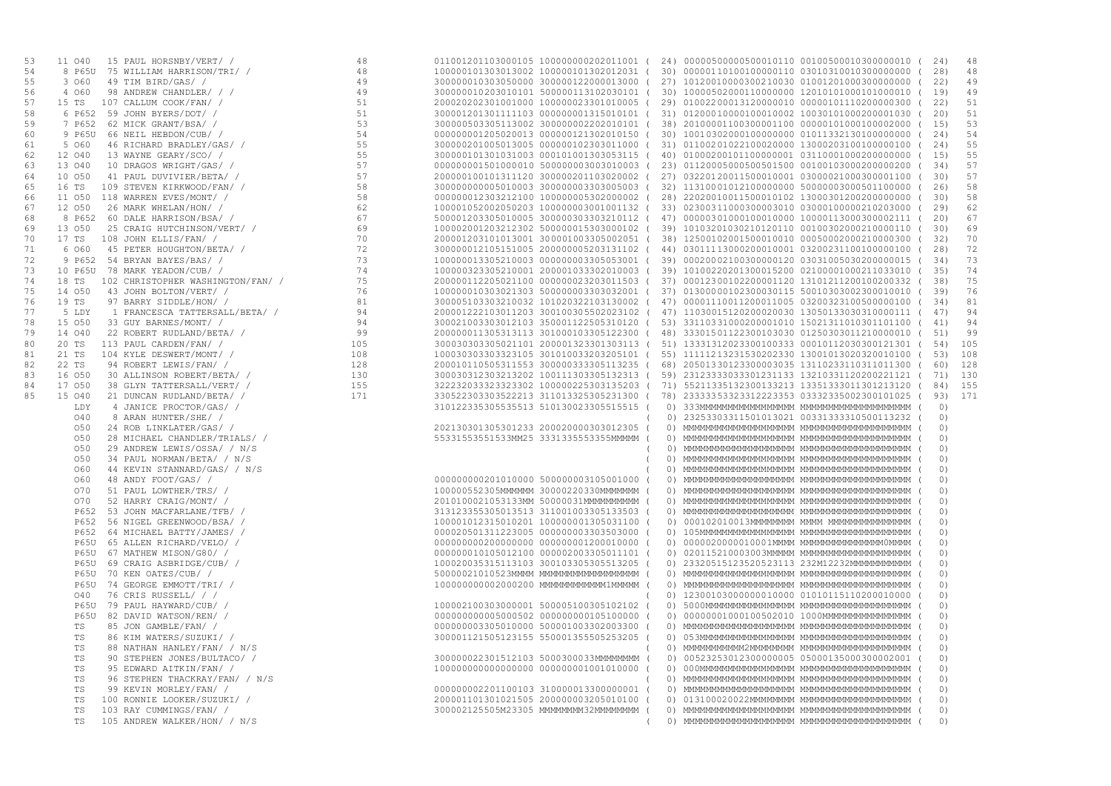| 53 | 15 PAUL HORSNBY/VERT/ /<br>11 040                                                                                                                                                                                                                  | 48            | 011001201103000105 100000000202011001 ( 24) 00000500000500010110 00100500010300000010 ( 24) |            |                                                     |  |           |     |
|----|----------------------------------------------------------------------------------------------------------------------------------------------------------------------------------------------------------------------------------------------------|---------------|---------------------------------------------------------------------------------------------|------------|-----------------------------------------------------|--|-----------|-----|
| 54 | 8 P65U                                                                                                                                                                                                                                             |               | 100000101303013002 100000101302012031 (                                                     |            |                                                     |  | 28)       | 48  |
| 55 | 3 060                                                                                                                                                                                                                                              |               | 300000010303050000 300000122000013000 (                                                     |            | 27) 10120010000300210030 01001201000300000000 (     |  | 22)       | 49  |
| 56 | 4 060                                                                                                                                                                                                                                              |               | 300000010203010101 500000113102030101 (                                                     |            | 30) 10000502000110000000 12010101000101000010 ( 19) |  |           | 49  |
| 57 | 15 TS                                                                                                                                                                                                                                              |               | 200020202301001000 100000023301010005 (                                                     |            | 29) 01002200013120000010 00000101110200000300 (22)  |  |           | 51  |
| 58 | 6 P652                                                                                                                                                                                                                                             |               | 300001201301111103 000000001315010101 (                                                     |            | 31) 01200010000100010002 10030101000200001030 ( 20) |  |           | 51  |
| 59 | 7 P652                                                                                                                                                                                                                                             |               | 300000503305113002 300000002202010101 (                                                     |            | 38) 20100001100300001100 00000101000100002000 ( 15) |  |           | 53  |
| 60 | 9 P65U                                                                                                                                                                                                                                             |               | 000000001205020013 000000121302010150 (                                                     |            | 30) 10010302000100000000 01011332130100000000 (     |  | 24)       | 54  |
| 61 | 5 060                                                                                                                                                                                                                                              |               | 300000201005013005 000000102303011000 (                                                     |            | 31) 01100201022100020000 13000203100100000100 (     |  | 24)       | 55  |
| 62 | 12 040                                                                                                                                                                                                                                             |               | 300000101301031003 000101001303053115                                                       |            | 40) 01000200101100000001 03110001000200000000 ( 15) |  |           | 55  |
| 63 | 13 040                                                                                                                                                                                                                                             |               | 000000001501000010 500000003003010003 (                                                     |            | 23) 01120005000500501500 00100103000200000200 (34)  |  |           | 57  |
| 64 | 10 050                                                                                                                                                                                                                                             |               | 200000100101311120 300000201103020002 (                                                     |            | 27) 03220120011500010001 03000021000300001100 (30)  |  |           | 57  |
| 65 | 16 TS                                                                                                                                                                                                                                              |               | 3000000000005010003 300000003303005003 (                                                    |            | 32) 11310001012100000000 50000003000501100000 (     |  | 26)       | 58  |
| 66 | 11 050 118 WARREN EVES/MONT/ /                                                                                                                                                                                                                     |               | 000000012303212100 100000005302000002 (                                                     |            | 28) 22020010011500010102 13000301200200000000 (     |  | 30)       | 58  |
| 67 | 12 050                                                                                                                                                                                                                                             |               | 100001052002050203 100000003001001132 (                                                     |            | 33) 02300311000300003010 03000100000210203000 (     |  | 29)       | 62  |
| 68 | 8 P652                                                                                                                                                                                                                                             |               | 500001203305010005 300000303303210112 (                                                     |            | 47) 00000301000100010000 10000113000300002111 (     |  | 20)       | 67  |
| 69 | 13 050                                                                                                                                                                                                                                             |               | 100002001203212302 500000015303000102 (                                                     |            | 39) 10103201030210120110 00100302000210000110 (30)  |  |           | 69  |
| 70 | 17 TS                                                                                                                                                                                                                                              |               | 200001203101013001 300001003305002051 (                                                     |            | 38) 12500102001500010010 00050002000210000300 (32)  |  |           | 70  |
| 71 | 6 060                                                                                                                                                                                                                                              |               | 300000012105151005 200000005203131102 (                                                     |            | 44) 03011113000200010001 03200231100100000100 (     |  | 28)       | 72  |
| 72 | 9 P652 54 BRYAN BAYES/BAS/ /                                                                                                                                                                                                                       |               | 100000013305210003 000000003305053001 (                                                     |            | 39) 00020002100300000120 03031005030200000015 (     |  | 34)       | 73  |
| 73 | 10 P65U 78 MARK YEADON/CUB/ /                                                                                                                                                                                                                      |               | 100000323305210001 200001033302010003 (                                                     |            | 39) 10100220201300015200 02100001000211033010 (     |  | 35)       | 74  |
| 74 | $18$ TS                                                                                                                                                                                                                                            |               |                                                                                             |            |                                                     |  | 38)       | 75  |
| 75 |                                                                                                                                                                                                                                                    |               | 200000112205021100 000000023203011503                                                       |            | 37) 00012300102200001120 13101211200100200332 (     |  |           | 76  |
|    | 14 050                                                                                                                                                                                                                                             |               | 100000010303021303 500000003303032001                                                       |            | 37) 01300000102300030115 50010303002300010010 (39)  |  |           | 81  |
| 76 | 19 TS                                                                                                                                                                                                                                              |               | 300005103303210032 101020322103130002 (                                                     |            | 47) 00001110011200011005 03200323100500000100 (34)  |  |           |     |
| 77 | 5 LDY                                                                                                                                                                                                                                              |               | 200001222103011203 300100305502023102 (                                                     |            | 47) 11030015120200020030 13050133030310000111 ( 47) |  |           | 94  |
| 78 | 15 050                                                                                                                                                                                                                                             |               | 300021003303012103 350001122505310120 (                                                     |            | 53) 33110331000200001010 15021311010301101100 (41)  |  |           | 94  |
| 79 | 14 040                                                                                                                                                                                                                                             |               | 200000011305313113 301000103305122300 (                                                     |            | 48) 33301501122300103030 01250303011210000010 ( 51) |  |           | 99  |
| 80 | 20 TS                                                                                                                                                                                                                                              |               | 300030303305021101 200001323301303113 (                                                     |            | 51) 13331312023300100333 00010112030300121301 (     |  | 54)       | 105 |
| 81 | 21 TS                                                                                                                                                                                                                                              |               | 100030303303323105 301010033203205101 (                                                     |            | 55) 11111213231530202330 13001013020320010100 (53)  |  |           | 108 |
| 82 | 22 TS                                                                                                                                                                                                                                              |               | 200010110505311553 300000333305113235 (                                                     |            | 68) 20501330123300003035 13110233110311011300 (     |  | 60)       | 128 |
| 83 | 16 050                                                                                                                                                                                                                                             |               | 300030312303213202 100111303305132313 (                                                     |            | 59) 23123333033301231133 13210331120200221121 (     |  | 71)       | 130 |
| 84 | 17 050                                                                                                                                                                                                                                             |               | 322232033323323302 100000225303135203 (                                                     |            | 71) 55211335132300133213 13351333011301213120 (     |  | 84)       | 155 |
| 85 | 15 040                                                                                                                                                                                                                                             |               | 330522303303522213 311013325305231300                                                       |            | 78) 23333353323312223353 03332335002300101025 (     |  | 93)       | 171 |
|    | LDY                                                                                                                                                                                                                                                |               | 310122335305535513 510130023305515515                                                       | 0)         |                                                     |  | $\circ$ ) |     |
|    | 040                                                                                                                                                                                                                                                |               |                                                                                             |            | 0) 23253303311501013021 00331333310500113232 (      |  | (0)       |     |
|    | 10 IP PAUL HORSNBY/VERT/   48<br>1650 IS PAULIAM HARISON/TRI/   48<br>660 49 TIM BIRD/GAS/   49<br>67 TIM BIRD/GAS/   49<br>57 TIME MENOR   49<br>57 TIME MENTIFIES/OPT/   57<br>672 62 MINCR CRANT/BSA/   57<br>672 62 MICK GRANT/BSA/   5<br>050 |               | 202130301305301233 200020000303012305                                                       |            |                                                     |  | 0)        |     |
|    | 050                                                                                                                                                                                                                                                |               | 55331553551533MM25 3331335553355MMMMM (                                                     |            |                                                     |  | (0)       |     |
|    | 050                                                                                                                                                                                                                                                |               |                                                                                             |            |                                                     |  | (0)       |     |
|    | 050<br>34 PAUL NORMAN/BETA/ / N/S                                                                                                                                                                                                                  |               |                                                                                             |            |                                                     |  | (0)       |     |
|    | 060<br>44 KEVIN STANNARD/GAS/ / N/S                                                                                                                                                                                                                |               |                                                                                             |            |                                                     |  | (0)       |     |
|    | 060<br>48 ANDY FOOT/GAS/ /                                                                                                                                                                                                                         |               | 000000000201010000 500000003105001000                                                       |            |                                                     |  | (0)       |     |
|    | O70<br>51 PAUL LOWTHER/TRS/ /                                                                                                                                                                                                                      |               | 100000552305MMMMMM 30000220330MMMMMMM (                                                     |            |                                                     |  | 0)        |     |
|    | O70<br>52 HARRY CRAIG/MONT/ /                                                                                                                                                                                                                      |               | 2010100021053133MM 50000031MMMMMMMMMM (                                                     |            |                                                     |  | (0)       |     |
|    | 53 JOHN MACFARLANE/TFB/ /<br>P652                                                                                                                                                                                                                  |               | 313123355305013513 311001003305133503                                                       |            |                                                     |  | (0)       |     |
|    | 56 NIGEL GREENWOOD/BSA/ /<br>P652                                                                                                                                                                                                                  |               | 100001012315010201 100000001305031100 (                                                     |            | 0) 000102010013MMMMMMMMM MMMM MMMMMMMMMMMMMMM (     |  | 0)        |     |
|    | P652<br>64 MICHAEL BATTY/JAMES/ /                                                                                                                                                                                                                  |               | 000020501311223005 000000003303503000 (                                                     |            |                                                     |  | (0)       |     |
|    | <b>P65U</b><br>65 ALLEN RICHARD/VELO/ /                                                                                                                                                                                                            | $\frac{1}{s}$ | 000000000200000000 000000001200010000                                                       |            |                                                     |  | (0)       |     |
|    | <b>P65U</b><br>67 MATHEW MISON/G80/ /                                                                                                                                                                                                              |               | 000000010105012100 000002003305011101 (                                                     |            | 0) 020115210003003МММММ МММММММММММММММММММ (       |  | 0)        |     |
|    | P65U<br>69 CRAIG ASBRIDGE/CUB/ /                                                                                                                                                                                                                   |               | 100020035315113103 300103305305513205 (                                                     |            | 0) 23320515123520523113 232M12232MMMMMMMMMMM (      |  | (0)       |     |
|    | 70 KEN OATES/CUB/ /<br><b>P65U</b>                                                                                                                                                                                                                 |               | 50000021010523MMMM MMMMMMMMMMMMMMMMM                                                        |            |                                                     |  | (0)       |     |
|    | 74 GEORGE EMMOTT/TRI/ /<br><b>P65U</b>                                                                                                                                                                                                             |               | 1000000000002000200 MMMMMMMMMMMMMMMMM                                                       |            |                                                     |  | (0)       |     |
|    | 76 CRIS RUSSELL/ / /<br>040                                                                                                                                                                                                                        |               |                                                                                             |            | 0) 12300103000000010000 01010115110200010000 (      |  | (0)       |     |
|    | <b>P65U</b><br>79 PAUL HAYWARD/CUB/ /                                                                                                                                                                                                              |               | 100002100303000001 500005100305102102                                                       |            |                                                     |  | (0)       |     |
|    | <b>P65U</b><br>82 DAVID WATSON/REN/ /                                                                                                                                                                                                              |               | 000000000005000502 000000000105100000                                                       |            | 0) 00000001000100502010 1000MMMMMMMMMMMMMMMMM (     |  | 0)        |     |
|    | TS<br>85 JON GAMBLE/FAN/ /                                                                                                                                                                                                                         |               | 000000003305010000 500001003302003300 (                                                     |            |                                                     |  | (0)       |     |
|    | TS<br>86 KIM WATERS/SUZUKI/ /                                                                                                                                                                                                                      |               | 300001121505123155 550001355505253205                                                       |            |                                                     |  | (0)       |     |
|    | TS<br>88 NATHAN HANLEY/FAN/ / N/S                                                                                                                                                                                                                  |               |                                                                                             |            |                                                     |  | (0)       |     |
|    | TS<br>90 STEPHEN JONES/BULTACO/ /                                                                                                                                                                                                                  |               | 300000022301512103 5000300033MMMMMMMM                                                       |            | 0) 00523253012300000005 05000135000300002001 (      |  | (0)       |     |
|    | TS<br>95 EDWARD AITKIN/FAN/ /                                                                                                                                                                                                                      |               | 1000000000000000000 0000000001001010000                                                     |            |                                                     |  | (0)       |     |
|    | TS<br>96 STEPHEN THACKRAY/FAN/ / N/S                                                                                                                                                                                                               |               |                                                                                             |            |                                                     |  | (0)       |     |
|    | TS<br>99 KEVIN MORLEY/FAN/ /                                                                                                                                                                                                                       |               | 000000002201100103 310000013300000001 (                                                     |            |                                                     |  | (0)       |     |
|    | TS<br>100 RONNIE LOOKER/SUZUKI/ /                                                                                                                                                                                                                  |               | 200001101301021505 200000003205010100                                                       |            | 0) 013100020022МММММММ ММММММММММММММММММ           |  | 0)        |     |
|    | TS<br>103 RAY CUMMINGS/FAN/ /                                                                                                                                                                                                                      |               | 300002125505M23305 MMMMMMMM32MMMMMMMM (                                                     |            |                                                     |  | 0)        |     |
|    | 105 ANDREW WALKER/HON/ / N/S<br>TS                                                                                                                                                                                                                 |               |                                                                                             | $\sqrt{2}$ |                                                     |  | (0)       |     |
|    |                                                                                                                                                                                                                                                    |               |                                                                                             |            |                                                     |  |           |     |